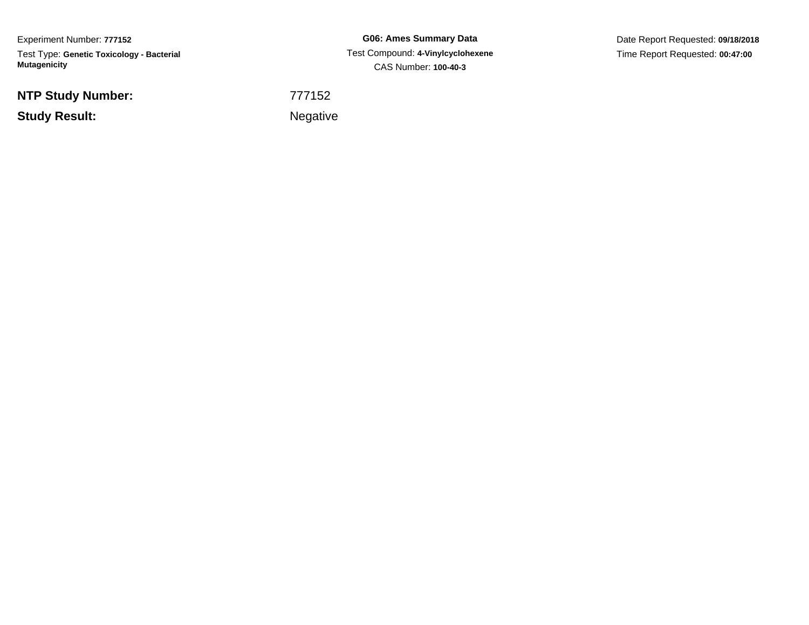Experiment Number: **777152**Test Type: **Genetic Toxicology - Bacterial Mutagenicity**

**NTP Study Number:**

**Study Result:**

**G06: Ames Summary Data** Test Compound: **4-Vinylcyclohexene**CAS Number: **100-40-3**

Date Report Requested: **09/18/2018**Time Report Requested: **00:47:00**

<sup>777152</sup>

**Example 2** is a set of the set of the Negative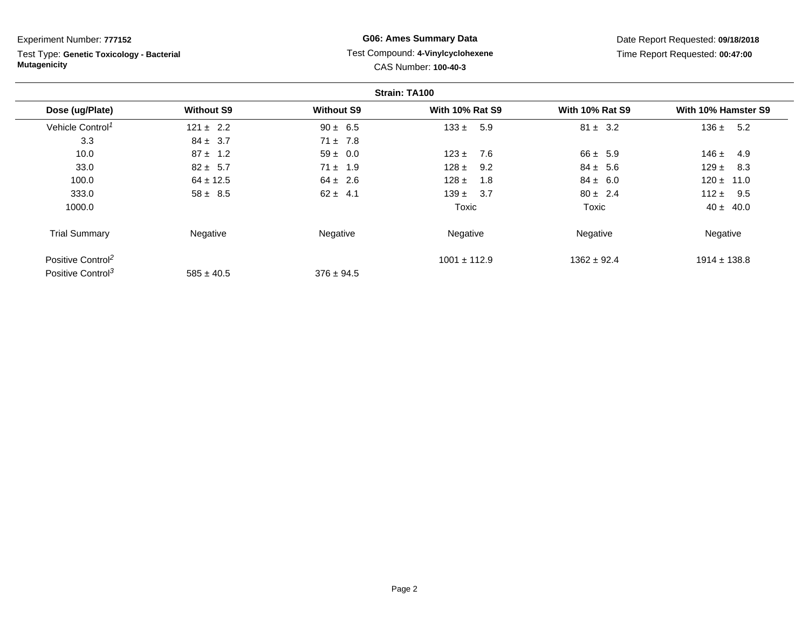Test Type: **Genetic Toxicology - Bacterial Mutagenicity**

## **G06: Ames Summary Data** Test Compound: **4-Vinylcyclohexene**CAS Number: **100-40-3**

|                               |                   |                   | Strain: TA100          |                        |                     |
|-------------------------------|-------------------|-------------------|------------------------|------------------------|---------------------|
| Dose (ug/Plate)               | <b>Without S9</b> | <b>Without S9</b> | <b>With 10% Rat S9</b> | <b>With 10% Rat S9</b> | With 10% Hamster S9 |
| Vehicle Control <sup>1</sup>  | $121 \pm 2.2$     | $90 \pm 6.5$      | $133 \pm$<br>5.9       | $81 \pm 3.2$           | 136 $\pm$<br>5.2    |
| 3.3                           | $84 \pm 3.7$      | $71 \pm 7.8$      |                        |                        |                     |
| 10.0                          | $87 \pm 1.2$      | $59 \pm 0.0$      | 7.6<br>$123 \pm$       | $66 \pm 5.9$           | $146 \pm$<br>4.9    |
| 33.0                          | $82 \pm 5.7$      | $71 \pm 1.9$      | $128 \pm$<br>9.2       | $84 \pm 5.6$           | $129 \pm$<br>8.3    |
| 100.0                         | $64 \pm 12.5$     | $64 \pm 2.6$      | $128 \pm$<br>1.8       | $84 \pm 6.0$           | $120 \pm$<br>11.0   |
| 333.0                         | $58 \pm 8.5$      | $62 \pm 4.1$      | $139 \pm 3.7$          | $80 \pm 2.4$           | $112 \pm$<br>9.5    |
| 1000.0                        |                   |                   | Toxic                  | Toxic                  | $40 \pm 40.0$       |
| <b>Trial Summary</b>          | Negative          | Negative          | Negative               | Negative               | Negative            |
| Positive Control <sup>2</sup> |                   |                   | $1001 \pm 112.9$       | $1362 \pm 92.4$        | $1914 \pm 138.8$    |
| Positive Control <sup>3</sup> | $585 \pm 40.5$    | $376 \pm 94.5$    |                        |                        |                     |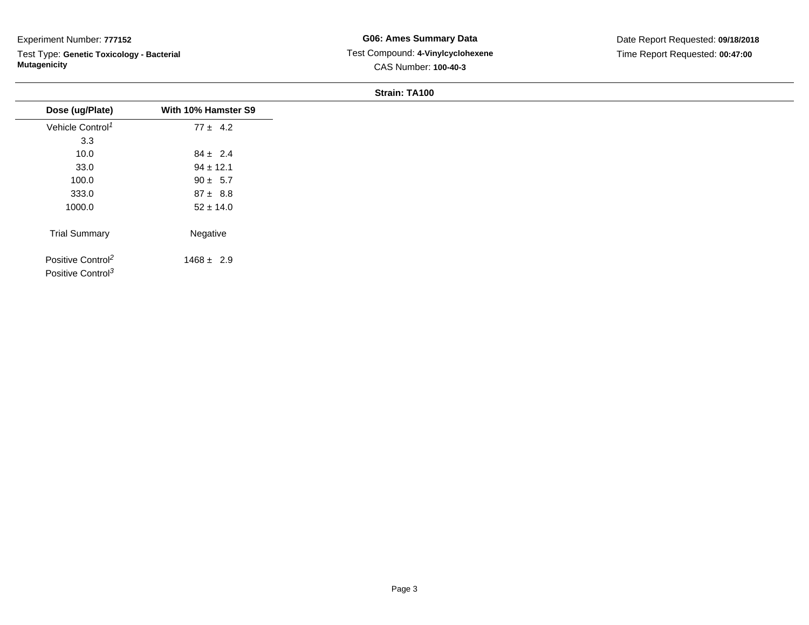Test Type: **Genetic Toxicology - Bacterial Mutagenicity**

| Dose (ug/Plate)                                                | With 10% Hamster S9 |
|----------------------------------------------------------------|---------------------|
| Vehicle Control <sup>1</sup>                                   | $77 \pm 4.2$        |
| 3.3                                                            |                     |
| 10.0                                                           | $84 \pm 2.4$        |
| 33.0                                                           | $94 \pm 12.1$       |
| 100.0                                                          | $90 \pm 5.7$        |
| 333.0                                                          | $87 \pm 8.8$        |
| 1000.0                                                         | $52 \pm 14.0$       |
| <b>Trial Summary</b>                                           | Negative            |
| Positive Control <sup>2</sup><br>Positive Control <sup>3</sup> | $1468 \pm 2.9$      |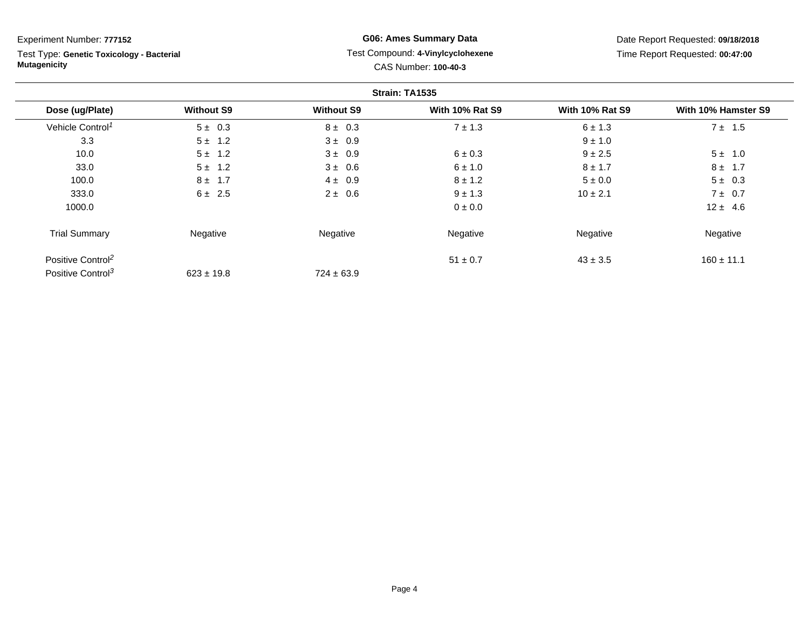Test Type: **Genetic Toxicology - Bacterial Mutagenicity**

## **G06: Ames Summary Data** Test Compound: **4-Vinylcyclohexene**CAS Number: **100-40-3**

|                               |                   |                   | Strain: TA1535         |                        |                     |
|-------------------------------|-------------------|-------------------|------------------------|------------------------|---------------------|
| Dose (ug/Plate)               | <b>Without S9</b> | <b>Without S9</b> | <b>With 10% Rat S9</b> | <b>With 10% Rat S9</b> | With 10% Hamster S9 |
| Vehicle Control <sup>1</sup>  | $5 \pm 0.3$       | $8 \pm 0.3$       | $7 \pm 1.3$            | $6 \pm 1.3$            | $7 \pm 1.5$         |
| 3.3                           | $5 \pm 1.2$       | $3 \pm 0.9$       |                        | $9 \pm 1.0$            |                     |
| 10.0                          | $5 \pm 1.2$       | $3 \pm 0.9$       | $6 \pm 0.3$            | $9 + 2.5$              | $5 \pm 1.0$         |
| 33.0                          | $5 \pm 1.2$       | $3 \pm 0.6$       | $6 \pm 1.0$            | $8 \pm 1.7$            | $8 \pm 1.7$         |
| 100.0                         | $8 \pm 1.7$       | $4 \pm 0.9$       | $8 \pm 1.2$            | $5 \pm 0.0$            | $5 \pm 0.3$         |
| 333.0                         | $6 \pm 2.5$       | $2 \pm 0.6$       | $9 \pm 1.3$            | $10 \pm 2.1$           | $7 \pm 0.7$         |
| 1000.0                        |                   |                   | 0 ± 0.0                |                        | $12 \pm 4.6$        |
| <b>Trial Summary</b>          | Negative          | Negative          | Negative               | Negative               | Negative            |
| Positive Control <sup>2</sup> |                   |                   | $51 \pm 0.7$           | $43 \pm 3.5$           | $160 \pm 11.1$      |
| Positive Control <sup>3</sup> | $623 \pm 19.8$    | $724 \pm 63.9$    |                        |                        |                     |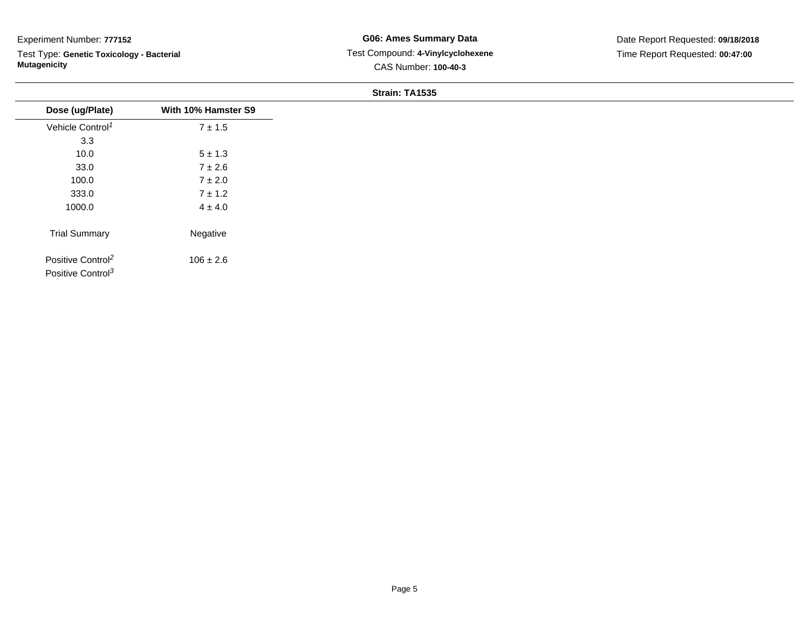Test Type: **Genetic Toxicology - Bacterial Mutagenicity**

| Dose (ug/Plate)                                                | With 10% Hamster S9 |
|----------------------------------------------------------------|---------------------|
| Vehicle Control <sup>1</sup>                                   | $7 \pm 1.5$         |
| 3.3                                                            |                     |
| 10.0                                                           | $5 \pm 1.3$         |
| 33.0                                                           | $7\pm2.6$           |
| 100.0                                                          | $7 \pm 2.0$         |
| 333.0                                                          | $7 \pm 1.2$         |
| 1000.0                                                         | $4 \pm 4.0$         |
| <b>Trial Summary</b>                                           | Negative            |
| Positive Control <sup>2</sup><br>Positive Control <sup>3</sup> | $106 \pm 2.6$       |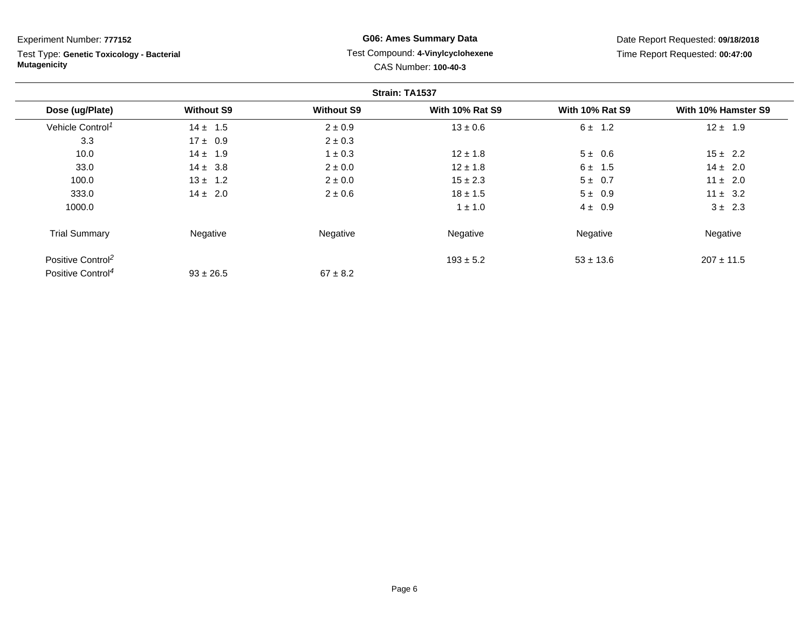Test Type: **Genetic Toxicology - Bacterial Mutagenicity**

## **G06: Ames Summary Data** Test Compound: **4-Vinylcyclohexene**CAS Number: **100-40-3**

|                               |                   |                   | Strain: TA1537         |                        |                     |
|-------------------------------|-------------------|-------------------|------------------------|------------------------|---------------------|
| Dose (ug/Plate)               | <b>Without S9</b> | <b>Without S9</b> | <b>With 10% Rat S9</b> | <b>With 10% Rat S9</b> | With 10% Hamster S9 |
| Vehicle Control <sup>1</sup>  | $14 \pm 1.5$      | $2 \pm 0.9$       | $13 \pm 0.6$           | $6 \pm 1.2$            | $12 \pm 1.9$        |
| 3.3                           | $17 \pm 0.9$      | $2 \pm 0.3$       |                        |                        |                     |
| 10.0                          | $14 \pm 1.9$      | $1 \pm 0.3$       | $12 \pm 1.8$           | $5 \pm 0.6$            | $15 \pm 2.2$        |
| 33.0                          | $14 \pm 3.8$      | $2 \pm 0.0$       | $12 \pm 1.8$           | $6 \pm 1.5$            | $14 \pm 2.0$        |
| 100.0                         | $13 \pm 1.2$      | $2 \pm 0.0$       | $15 \pm 2.3$           | $5 \pm 0.7$            | $11 \pm 2.0$        |
| 333.0                         | $14 \pm 2.0$      | $2 \pm 0.6$       | $18 \pm 1.5$           | $5 \pm 0.9$            | $11 \pm 3.2$        |
| 1000.0                        |                   |                   | $1 \pm 1.0$            | $4 \pm 0.9$            | $3 \pm 2.3$         |
| <b>Trial Summary</b>          | Negative          | Negative          | Negative               | Negative               | Negative            |
| Positive Control <sup>2</sup> |                   |                   | $193 \pm 5.2$          | $53 \pm 13.6$          | $207 \pm 11.5$      |
| Positive Control <sup>4</sup> | $93 \pm 26.5$     | $67 \pm 8.2$      |                        |                        |                     |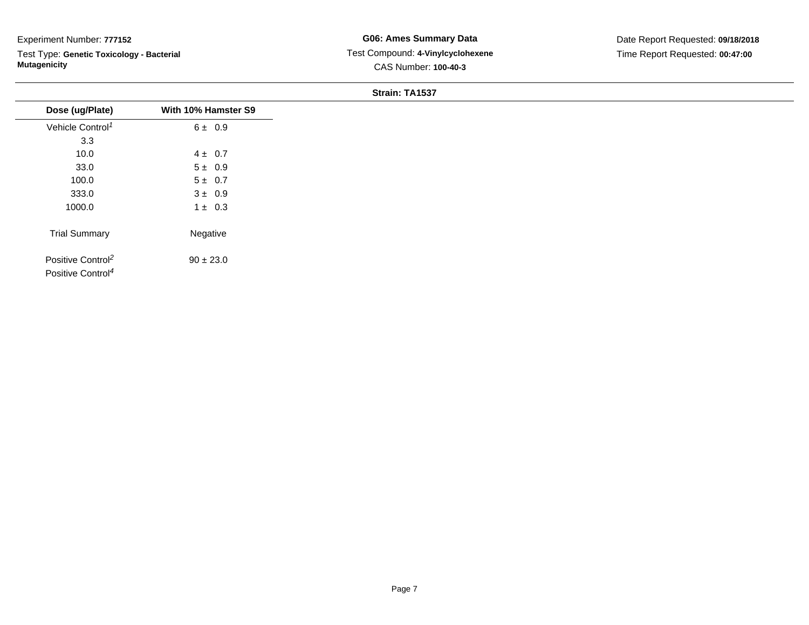Test Type: **Genetic Toxicology - Bacterial Mutagenicity**

| Dose (ug/Plate)                                                | With 10% Hamster S9 |
|----------------------------------------------------------------|---------------------|
| Vehicle Control <sup>1</sup>                                   | 6 ± 0.9             |
| 3.3                                                            |                     |
| 10.0                                                           | $4 \pm 0.7$         |
| 33.0                                                           | $5 \pm 0.9$         |
| 100.0                                                          | $5 \pm 0.7$         |
| 333.0                                                          | $3 \pm 0.9$         |
| 1000.0                                                         | $1 \pm 0.3$         |
| <b>Trial Summary</b>                                           | Negative            |
| Positive Control <sup>2</sup><br>Positive Control <sup>4</sup> | $90 \pm 23.0$       |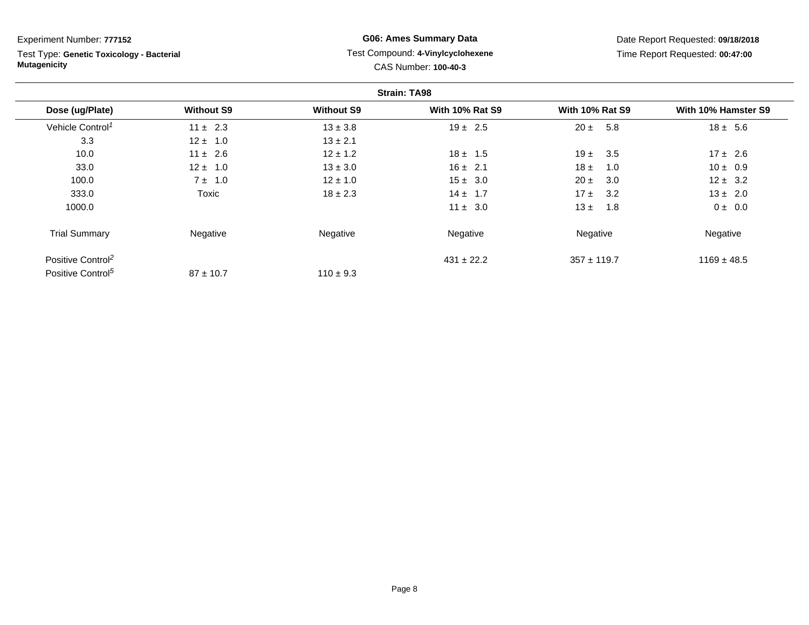Test Type: **Genetic Toxicology - Bacterial Mutagenicity**

## **G06: Ames Summary Data** Test Compound: **4-Vinylcyclohexene**CAS Number: **100-40-3**

|                               |                   |                   | <b>Strain: TA98</b>    |                        |                     |
|-------------------------------|-------------------|-------------------|------------------------|------------------------|---------------------|
| Dose (ug/Plate)               | <b>Without S9</b> | <b>Without S9</b> | <b>With 10% Rat S9</b> | <b>With 10% Rat S9</b> | With 10% Hamster S9 |
| Vehicle Control <sup>1</sup>  | $11 \pm 2.3$      | $13 \pm 3.8$      | $19 \pm 2.5$           | $20 \pm$<br>5.8        | $18 \pm 5.6$        |
| 3.3                           | $12 \pm 1.0$      | $13 \pm 2.1$      |                        |                        |                     |
| 10.0                          | $11 \pm 2.6$      | $12 \pm 1.2$      | $18 \pm 1.5$           | 19 $\pm$<br>3.5        | $17 \pm 2.6$        |
| 33.0                          | $12 \pm 1.0$      | $13 \pm 3.0$      | $16 \pm 2.1$           | $18 \pm$<br>1.0        | $10 \pm 0.9$        |
| 100.0                         | $7 \pm 1.0$       | $12 \pm 1.0$      | $15 \pm 3.0$           | $20 \pm$<br>3.0        | $12 \pm 3.2$        |
| 333.0                         | Toxic             | $18 \pm 2.3$      | $14 \pm 1.7$           | 17±<br>3.2             | $13 \pm 2.0$        |
| 1000.0                        |                   |                   | $11 \pm 3.0$           | $13 \pm$<br>1.8        | $0 \pm 0.0$         |
| <b>Trial Summary</b>          | Negative          | Negative          | Negative               | Negative               | Negative            |
| Positive Control <sup>2</sup> |                   |                   | $431 \pm 22.2$         | $357 \pm 119.7$        | $1169 \pm 48.5$     |
| Positive Control <sup>5</sup> | $87 \pm 10.7$     | $110 \pm 9.3$     |                        |                        |                     |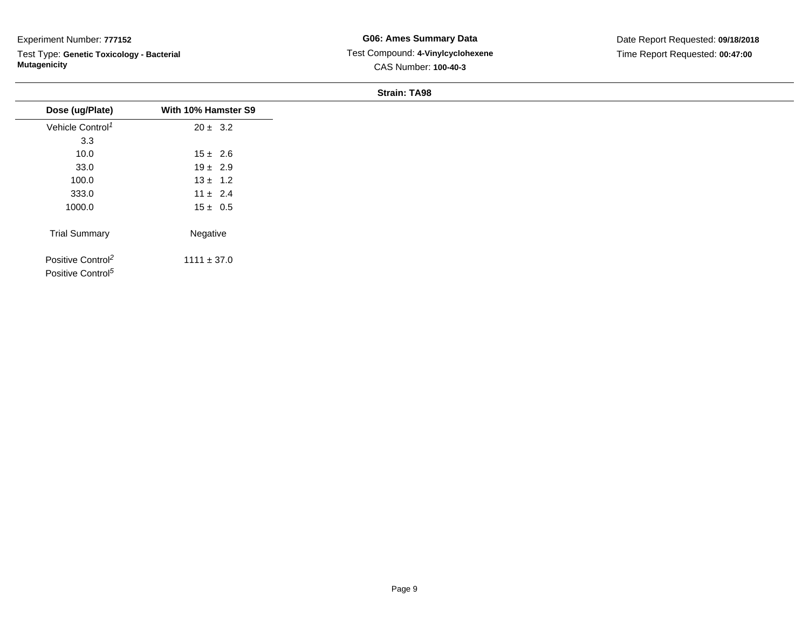Test Type: **Genetic Toxicology - Bacterial Mutagenicity**

| Dose (ug/Plate)                                                | With 10% Hamster S9 |
|----------------------------------------------------------------|---------------------|
| Vehicle Control <sup>1</sup>                                   | $20 \pm 3.2$        |
| 3.3                                                            |                     |
| 10.0                                                           | $15 \pm 2.6$        |
| 33.0                                                           | $19 \pm 2.9$        |
| 100.0                                                          | $13 \pm 1.2$        |
| 333.0                                                          | $11 \pm 2.4$        |
| 1000.0                                                         | $15 \pm 0.5$        |
| <b>Trial Summary</b>                                           | Negative            |
| Positive Control <sup>2</sup><br>Positive Control <sup>5</sup> | $1111 \pm 37.0$     |